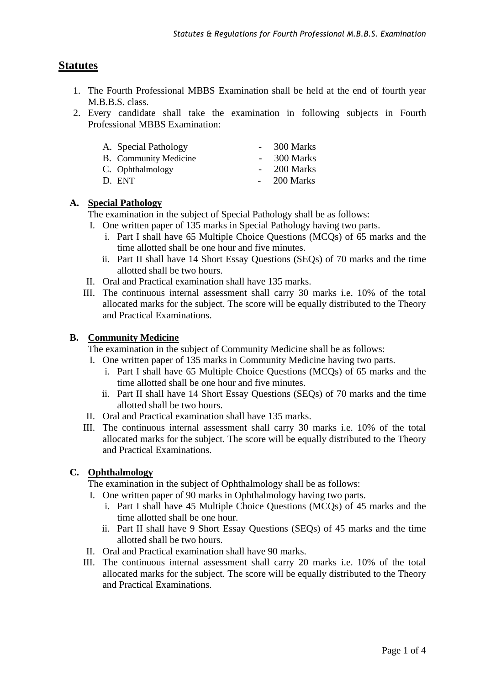# **Statutes**

- 1. The Fourth Professional MBBS Examination shall be held at the end of fourth year M.B.B.S. class.
- 2. Every candidate shall take the examination in following subjects in Fourth Professional MBBS Examination:

| A. Special Pathology  | 300 Marks    |
|-----------------------|--------------|
| B. Community Medicine | 300 Marks    |
| C. Ophthalmology      | $-200$ Marks |
| D. ENT                | $-200$ Marks |

### **A. Special Pathology**

The examination in the subject of Special Pathology shall be as follows:

- I. One written paper of 135 marks in Special Pathology having two parts.
	- i. Part I shall have 65 Multiple Choice Questions (MCQs) of 65 marks and the time allotted shall be one hour and five minutes.
	- ii. Part II shall have 14 Short Essay Questions (SEQs) of 70 marks and the time allotted shall be two hours.
- II. Oral and Practical examination shall have 135 marks.
- III. The continuous internal assessment shall carry 30 marks i.e. 10% of the total allocated marks for the subject. The score will be equally distributed to the Theory and Practical Examinations.

#### **B. Community Medicine**

The examination in the subject of Community Medicine shall be as follows:

- I. One written paper of 135 marks in Community Medicine having two parts.
	- i. Part I shall have 65 Multiple Choice Questions (MCQs) of 65 marks and the time allotted shall be one hour and five minutes.
	- ii. Part II shall have 14 Short Essay Questions (SEQs) of 70 marks and the time allotted shall be two hours.
- II. Oral and Practical examination shall have 135 marks.
- III. The continuous internal assessment shall carry 30 marks i.e. 10% of the total allocated marks for the subject. The score will be equally distributed to the Theory and Practical Examinations.

#### **C. Ophthalmology**

The examination in the subject of Ophthalmology shall be as follows:

- I. One written paper of 90 marks in Ophthalmology having two parts.
	- i. Part I shall have 45 Multiple Choice Questions (MCQs) of 45 marks and the time allotted shall be one hour.
	- ii. Part II shall have 9 Short Essay Questions (SEQs) of 45 marks and the time allotted shall be two hours.
- II. Oral and Practical examination shall have 90 marks.
- III. The continuous internal assessment shall carry 20 marks i.e. 10% of the total allocated marks for the subject. The score will be equally distributed to the Theory and Practical Examinations.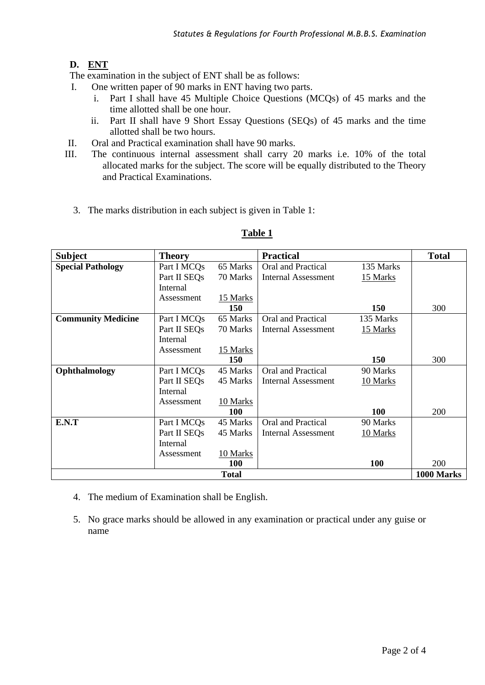## **D. ENT**

The examination in the subject of ENT shall be as follows:

- I. One written paper of 90 marks in ENT having two parts.
	- i. Part I shall have 45 Multiple Choice Questions (MCQs) of 45 marks and the time allotted shall be one hour.
	- ii. Part II shall have 9 Short Essay Questions (SEQs) of 45 marks and the time allotted shall be two hours.
- II. Oral and Practical examination shall have 90 marks.
- III. The continuous internal assessment shall carry 20 marks i.e. 10% of the total allocated marks for the subject. The score will be equally distributed to the Theory and Practical Examinations.
	- 3. The marks distribution in each subject is given in Table 1:

| <b>Subject</b>            | <b>Theory</b>            |            | <b>Practical</b>           |           | <b>Total</b> |  |  |
|---------------------------|--------------------------|------------|----------------------------|-----------|--------------|--|--|
| <b>Special Pathology</b>  | Part I MCQs              | 65 Marks   | Oral and Practical         | 135 Marks |              |  |  |
|                           | Part II SEQ <sub>s</sub> | 70 Marks   | <b>Internal Assessment</b> | 15 Marks  |              |  |  |
|                           | Internal                 |            |                            |           |              |  |  |
|                           | Assessment               | 15 Marks   |                            |           |              |  |  |
|                           |                          | 150        |                            | 150       | 300          |  |  |
| <b>Community Medicine</b> | Part I MCQs              | 65 Marks   | Oral and Practical         | 135 Marks |              |  |  |
|                           | Part II SEOs             | 70 Marks   | Internal Assessment        | 15 Marks  |              |  |  |
|                           | Internal                 |            |                            |           |              |  |  |
|                           | Assessment               | 15 Marks   |                            |           |              |  |  |
|                           |                          | 150        |                            | 150       | 300          |  |  |
| Ophthalmology             | Part I MCOs              | 45 Marks   | Oral and Practical         | 90 Marks  |              |  |  |
|                           | Part II SEOs             | 45 Marks   | Internal Assessment        | 10 Marks  |              |  |  |
|                           | Internal                 |            |                            |           |              |  |  |
|                           | Assessment               | 10 Marks   |                            |           |              |  |  |
|                           |                          | 100        |                            | 100       | 200          |  |  |
| E.N.T                     | Part I MCO <sub>s</sub>  | 45 Marks   | Oral and Practical         | 90 Marks  |              |  |  |
|                           | Part II SEOs             | 45 Marks   | Internal Assessment        | 10 Marks  |              |  |  |
|                           | Internal                 |            |                            |           |              |  |  |
|                           | Assessment               | 10 Marks   |                            |           |              |  |  |
|                           |                          | <b>100</b> |                            | 100       | 200          |  |  |
| <b>Total</b>              |                          |            |                            |           |              |  |  |

### **Table 1**

- 4. The medium of Examination shall be English.
- 5. No grace marks should be allowed in any examination or practical under any guise or name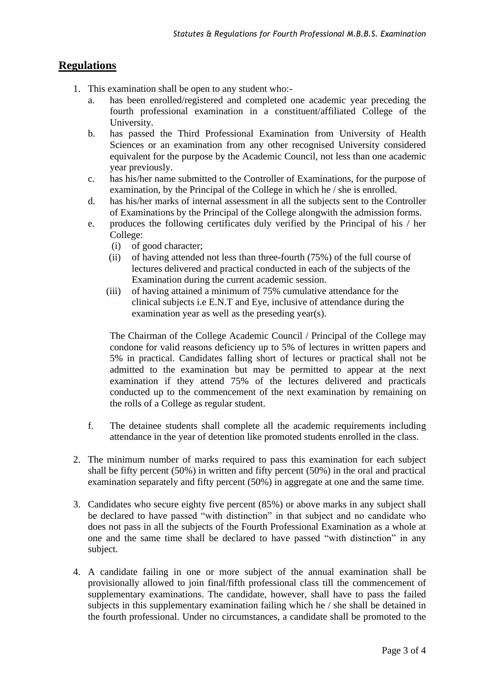## **Regulations**

- 1. This examination shall be open to any student who:
	- a. has been enrolled/registered and completed one academic year preceding the fourth professional examination in a constituent/affiliated College of the University.
	- b. has passed the Third Professional Examination from University of Health Sciences or an examination from any other recognised University considered equivalent for the purpose by the Academic Council, not less than one academic year previously.
	- c. has his/her name submitted to the Controller of Examinations, for the purpose of examination, by the Principal of the College in which he / she is enrolled.
	- d. has his/her marks of internal assessment in all the subjects sent to the Controller of Examinations by the Principal of the College alongwith the admission forms.
	- e. produces the following certificates duly verified by the Principal of his / her College:
		- (i) of good character;
		- (ii) of having attended not less than three-fourth (75%) of the full course of lectures delivered and practical conducted in each of the subjects of the Examination during the current academic session.
		- (iii) of having attained a minimum of 75% cumulative attendance for the clinical subjects i.e E.N.T and Eye, inclusive of attendance during the examination year as well as the preseding year(s).

The Chairman of the College Academic Council / Principal of the College may condone for valid reasons deficiency up to 5% of lectures in written papers and 5% in practical. Candidates falling short of lectures or practical shall not be admitted to the examination but may be permitted to appear at the next examination if they attend 75% of the lectures delivered and practicals conducted up to the commencement of the next examination by remaining on the rolls of a College as regular student.

- f. The detainee students shall complete all the academic requirements including attendance in the year of detention like promoted students enrolled in the class.
- 2. The minimum number of marks required to pass this examination for each subject shall be fifty percent (50%) in written and fifty percent (50%) in the oral and practical examination separately and fifty percent (50%) in aggregate at one and the same time.
- 3. Candidates who secure eighty five percent (85%) or above marks in any subject shall be declared to have passed "with distinction" in that subject and no candidate who does not pass in all the subjects of the Fourth Professional Examination as a whole at one and the same time shall be declared to have passed "with distinction" in any subject.
- 4. A candidate failing in one or more subject of the annual examination shall be provisionally allowed to join final/fifth professional class till the commencement of supplementary examinations. The candidate, however, shall have to pass the failed subjects in this supplementary examination failing which he / she shall be detained in the fourth professional. Under no circumstances, a candidate shall be promoted to the